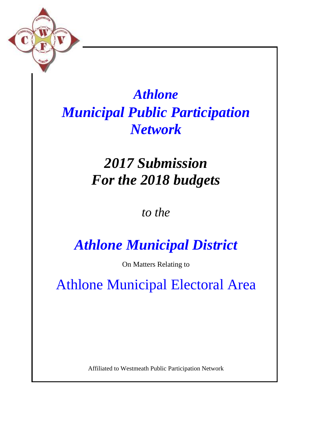

## *Athlone Municipal Public Participation Network*

## *2017 Submission For the 2018 budgets*

*to the*

## *Athlone Municipal District*

On Matters Relating to

Athlone Municipal Electoral Area

Affiliated to Westmeath Public Participation Network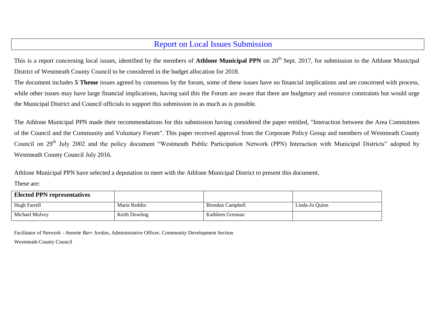## Report on Local Issues Submission

This is a report concerning local issues, identified by the members of **Athlone Municipal PPN** on 20<sup>th</sup> Sept. 2017, for submission to the Athlone Municipal District of Westmeath County Council to be considered in the budget allocation for 2018.

The document includes **5 Theme** issues agreed by consensus by the forum, some of these issues have no financial implications and are concerned with process, while other issues may have large financial implications, having said this the Forum are aware that there are budgetary and resource constraints but would urge the Municipal District and Council officials to support this submission in as much as is possible.

The Athlone Municipal PPN made their recommendations for this submission having considered the paper entitled, "Interaction between the Area Committees of the Council and the Community and Voluntary Forum". This paper received approval from the Corporate Policy Group and members of Westmeath County Council on 29<sup>th</sup> July 2002 and the policy document "Westmeath Public Participation Network (PPN) Interaction with Municipal Districts" adopted by Westmeath County Council July 2016.

Athlone Municipal PPN have selected a deputation to meet with the Athlone Municipal District to present this document.

These are:

| <b>Elected PPN representatives</b> |                      |                  |                |
|------------------------------------|----------------------|------------------|----------------|
| Hugh Farrell                       | Marie Reddin         | Brendan Campbell | Linda-Jo Ouinn |
| Michael Mulvev                     | <b>Keith Dowling</b> | Kathleen Grennan |                |

Facilitator of Network - *Annette Barr Jordan,* Administrative Officer, Community Development Section Westmeath County Council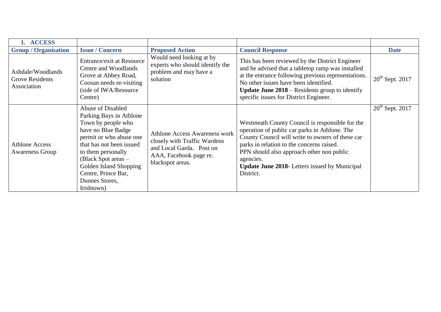| 1. ACCESS                                                  |                                                                                                                                                                                                                                                                                 |                                                                                                                                                |                                                                                                                                                                                                                                                                                                                                  |                      |
|------------------------------------------------------------|---------------------------------------------------------------------------------------------------------------------------------------------------------------------------------------------------------------------------------------------------------------------------------|------------------------------------------------------------------------------------------------------------------------------------------------|----------------------------------------------------------------------------------------------------------------------------------------------------------------------------------------------------------------------------------------------------------------------------------------------------------------------------------|----------------------|
| <b>Group / Organisation</b>                                | <b>Issue / Concern</b>                                                                                                                                                                                                                                                          | <b>Proposed Action</b>                                                                                                                         | <b>Council Response</b>                                                                                                                                                                                                                                                                                                          | <b>Date</b>          |
| Ashdale/Woodlands<br><b>Grove Residents</b><br>Association | <b>Entrance/exit at Resource</b><br>Centre and Woodlands<br>Grove at Abbey Road,<br>Coosan needs re-visiting<br>(side of IWA/Resource<br>Centre)                                                                                                                                | Would need looking at by<br>experts who should identify the<br>problem and may have a<br>solution                                              | This has been reviewed by the District Engineer<br>and he advised that a tabletop ramp was installed<br>at the entrance following previous representations.<br>No other issues have been identified.<br><b>Update June 2018</b> – Residents group to identify<br>specific issues for District Engineer.                          | $20th$ Sept. 2017    |
| <b>Athlone Access</b><br><b>Awareness Group</b>            | Abuse of Disabled<br>Parking Bays in Athlone<br>Town by people who<br>have no Blue Badge<br>permit or who abuse one<br>that has not been issued<br>to them personally<br>(Black Spot areas $-$<br>Golden Island Shopping<br>Centre, Prince Bar,<br>Dunnes Stores,<br>Irishtown) | <b>Athlone Access Awareness work</b><br>closely with Traffic Wardens<br>and Local Garda. Post on<br>AAA, Facebook page re.<br>blackspot areas. | Westmeath County Council is responsible for the<br>operation of public car parks in Athlone. The<br>County Council will write to owners of these car<br>parks in relation to the concerns raised.<br>PPN should also approach other non public<br>agencies.<br><b>Update June 2018-</b> Letters issued by Municipal<br>District. | $20^{th}$ Sept. 2017 |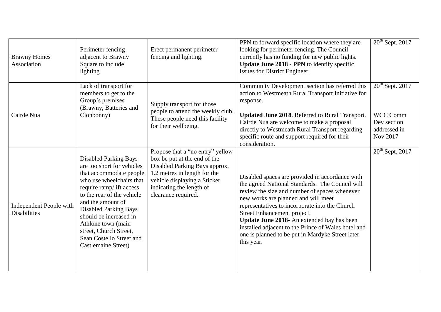| <b>Brawny Homes</b><br>Association             | Perimeter fencing<br>adjacent to Brawny<br>Square to include<br>lighting                                                                                                                                                                                                                                                                                      | Erect permanent perimeter<br>fencing and lighting.                                                                                                                                                                   | PPN to forward specific location where they are<br>looking for perimeter fencing. The Council<br>currently has no funding for new public lights.<br>Update June 2018 - PPN to identify specific<br>issues for District Engineer.                                                                                                                                                                                                                   | $20th$ Sept. 2017                                                        |
|------------------------------------------------|---------------------------------------------------------------------------------------------------------------------------------------------------------------------------------------------------------------------------------------------------------------------------------------------------------------------------------------------------------------|----------------------------------------------------------------------------------------------------------------------------------------------------------------------------------------------------------------------|----------------------------------------------------------------------------------------------------------------------------------------------------------------------------------------------------------------------------------------------------------------------------------------------------------------------------------------------------------------------------------------------------------------------------------------------------|--------------------------------------------------------------------------|
| Cairde Nua                                     | Lack of transport for<br>members to get to the<br>Group's premises<br>(Brawny, Batteries and<br>Clonbonny)                                                                                                                                                                                                                                                    | Supply transport for those<br>people to attend the weekly club.<br>These people need this facility<br>for their wellbeing.                                                                                           | Community Development section has referred this<br>action to Westmeath Rural Transport Initiative for<br>response.<br>Updated June 2018. Referred to Rural Transport.<br>Cairde Nua are welcome to make a proposal<br>directly to Westmeath Rural Transport regarding<br>specific route and support required for their<br>consideration.                                                                                                           | $20th$ Sept. 2017<br>WCC Comm<br>Dev section<br>addressed in<br>Nov 2017 |
| Independent People with<br><b>Disabilities</b> | <b>Disabled Parking Bays</b><br>are too short for vehicles<br>that accommodate people<br>who use wheelchairs that<br>require ramp/lift access<br>to the rear of the vehicle<br>and the amount of<br><b>Disabled Parking Bays</b><br>should be increased in<br>Athlone town (main<br>street, Church Street,<br>Sean Costello Street and<br>Castlemaine Street) | Propose that a "no entry" yellow<br>box be put at the end of the<br>Disabled Parking Bays approx.<br>1.2 metres in length for the<br>vehicle displaying a Sticker<br>indicating the length of<br>clearance required. | Disabled spaces are provided in accordance with<br>the agreed National Standards. The Council will<br>review the size and number of spaces whenever<br>new works are planned and will meet<br>representatives to incorporate into the Church<br>Street Enhancement project.<br>Update June 2018- An extended bay has been<br>installed adjacent to the Prince of Wales hotel and<br>one is planned to be put in Mardyke Street later<br>this year. | $20th$ Sept. 2017                                                        |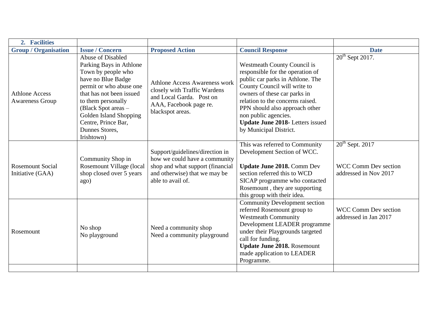| 2. Facilities                                   |                                                                                                                                                                                                                                                                                             |                                                                                                                                                            |                                                                                                                                                                                                                                                                                                                                               |                                                                           |
|-------------------------------------------------|---------------------------------------------------------------------------------------------------------------------------------------------------------------------------------------------------------------------------------------------------------------------------------------------|------------------------------------------------------------------------------------------------------------------------------------------------------------|-----------------------------------------------------------------------------------------------------------------------------------------------------------------------------------------------------------------------------------------------------------------------------------------------------------------------------------------------|---------------------------------------------------------------------------|
| <b>Group / Organisation</b>                     | <b>Issue / Concern</b>                                                                                                                                                                                                                                                                      | <b>Proposed Action</b>                                                                                                                                     | <b>Council Response</b>                                                                                                                                                                                                                                                                                                                       | <b>Date</b>                                                               |
| <b>Athlone Access</b><br><b>Awareness Group</b> | <b>Abuse of Disabled</b><br>Parking Bays in Athlone<br>Town by people who<br>have no Blue Badge<br>permit or who abuse one<br>that has not been issued<br>to them personally<br>(Black Spot areas -<br><b>Golden Island Shopping</b><br>Centre, Prince Bar,<br>Dunnes Stores,<br>Irishtown) | <b>Athlone Access Awareness work</b><br>closely with Traffic Wardens<br>and Local Garda. Post on<br>AAA, Facebook page re.<br>blackspot areas.             | <b>Westmeath County Council is</b><br>responsible for the operation of<br>public car parks in Athlone. The<br>County Council will write to<br>owners of these car parks in<br>relation to the concerns raised.<br>PPN should also approach other<br>non public agencies.<br><b>Update June 2018-</b> Letters issued<br>by Municipal District. | $20th$ Sept 2017.                                                         |
| <b>Rosemount Social</b><br>Initiative (GAA)     | Community Shop in<br>Rosemount Village (local<br>shop closed over 5 years<br>ago)                                                                                                                                                                                                           | Support/guidelines/direction in<br>how we could have a community<br>shop and what support (financial<br>and otherwise) that we may be<br>able to avail of. | This was referred to Community<br>Development Section of WCC.<br><b>Update June 2018.</b> Comm Dev<br>section referred this to WCD<br>SICAP programme who contacted<br>Rosemount, they are supporting<br>this group with their idea.                                                                                                          | $20th$ Sept. 2017<br><b>WCC Comm Dev section</b><br>addressed in Nov 2017 |
| Rosemount                                       | No shop<br>No playground                                                                                                                                                                                                                                                                    | Need a community shop<br>Need a community playground                                                                                                       | <b>Community Development section</b><br>referred Rosemount group to<br><b>Westmeath Community</b><br>Development LEADER programme<br>under their Playgrounds targeted<br>call for funding.<br><b>Update June 2018. Rosemount</b><br>made application to LEADER<br>Programme.                                                                  | <b>WCC Comm Dev section</b><br>addressed in Jan 2017                      |
|                                                 |                                                                                                                                                                                                                                                                                             |                                                                                                                                                            |                                                                                                                                                                                                                                                                                                                                               |                                                                           |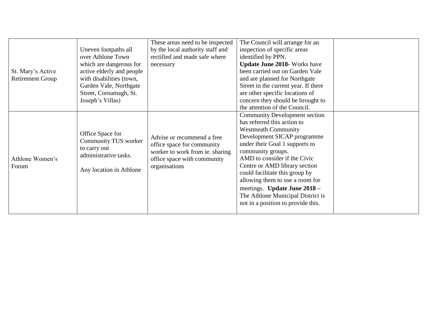|                         |                                          | These areas need to be inspected | The Council will arrange for an      |  |
|-------------------------|------------------------------------------|----------------------------------|--------------------------------------|--|
|                         | Uneven footpaths all                     | by the local authority staff and | inspection of specific areas         |  |
|                         | over Athlone Town                        | rectified and made safe where    | identified by PPN.                   |  |
|                         | which are dangerous for                  | necessary                        | <b>Update June 2018-</b> Works have  |  |
| St. Mary's Active       | active elderly and people                |                                  | been carried out on Garden Vale      |  |
| <b>Retirement Group</b> | with disabilities (town,                 |                                  | and are planned for Northgate        |  |
|                         | Garden Vale, Northgate                   |                                  | Street in the current year. If there |  |
|                         | Street, Cornamagh, St.                   |                                  | are other specific locations of      |  |
|                         | Joseph's Villas)                         |                                  | concern they should be brought to    |  |
|                         |                                          |                                  | the attention of the Council.        |  |
|                         |                                          |                                  | <b>Community Development section</b> |  |
|                         |                                          |                                  | has referred this action to          |  |
|                         |                                          |                                  | <b>Westmeath Community</b>           |  |
|                         | Office Space for<br>Community TUS worker | Advise or recommend a free       | Development SICAP programme          |  |
|                         |                                          | office space for community       | under their Goal 1 supports to       |  |
|                         | to carry out<br>administrative tasks.    | worker to work from ie. sharing  | community groups.                    |  |
| Athlone Women's         |                                          | office space with community      | AMD to consider if the Civic         |  |
| Forum                   | Any location in Athlone                  | organisations                    | Centre or AMD library section        |  |
|                         |                                          |                                  | could facilitate this group by       |  |
|                         |                                          |                                  | allowing them to use a room for      |  |
|                         |                                          |                                  | meetings. Update June 2018 -         |  |
|                         |                                          |                                  | The Athlone Municipal District is    |  |
|                         |                                          |                                  | not in a position to provide this.   |  |
|                         |                                          |                                  |                                      |  |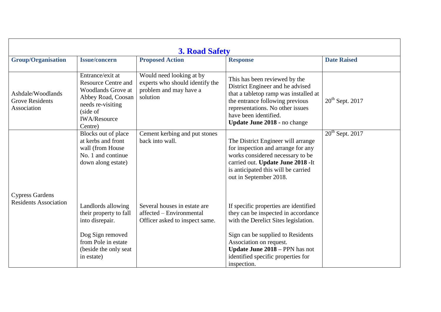| <b>3. Road Safety</b>                                      |                                                                                                                                                                      |                                                                                                   |                                                                                                                                                                                                                                                                                    |                    |
|------------------------------------------------------------|----------------------------------------------------------------------------------------------------------------------------------------------------------------------|---------------------------------------------------------------------------------------------------|------------------------------------------------------------------------------------------------------------------------------------------------------------------------------------------------------------------------------------------------------------------------------------|--------------------|
| <b>Group/Organisation</b>                                  | <b>Issue/concern</b>                                                                                                                                                 | <b>Proposed Action</b>                                                                            | <b>Response</b>                                                                                                                                                                                                                                                                    | <b>Date Raised</b> |
| Ashdale/Woodlands<br><b>Grove Residents</b><br>Association | Entrance/exit at<br><b>Resource Centre and</b><br><b>Woodlands Grove at</b><br>Abbey Road, Coosan<br>needs re-visiting<br>(side of<br><b>IWA/Resource</b><br>Centre) | Would need looking at by<br>experts who should identify the<br>problem and may have a<br>solution | This has been reviewed by the<br>District Engineer and he advised<br>that a tabletop ramp was installed at<br>the entrance following previous<br>representations. No other issues<br>have been identified.<br>Update June 2018 - no change                                         | $20th$ Sept. 2017  |
|                                                            | Blocks out of place<br>at kerbs and front<br>wall (from House<br>No. 1 and continue<br>down along estate)                                                            | Cement kerbing and put stones<br>back into wall.                                                  | The District Engineer will arrange<br>for inspection and arrange for any<br>works considered necessary to be<br>carried out. Update June 2018 -It<br>is anticipated this will be carried<br>out in September 2018.                                                                 | $20th$ Sept. 2017  |
| <b>Cypress Gardens</b><br><b>Residents Association</b>     | Landlords allowing<br>their property to fall<br>into disrepair.<br>Dog Sign removed<br>from Pole in estate<br>(beside the only seat<br>in estate)                    | Several houses in estate are<br>affected - Environmental<br>Officer asked to inspect same.        | If specific properties are identified<br>they can be inspected in accordance<br>with the Derelict Sites legislation.<br>Sign can be supplied to Residents<br>Association on request.<br><b>Update June 2018 - PPN has not</b><br>identified specific properties for<br>inspection. |                    |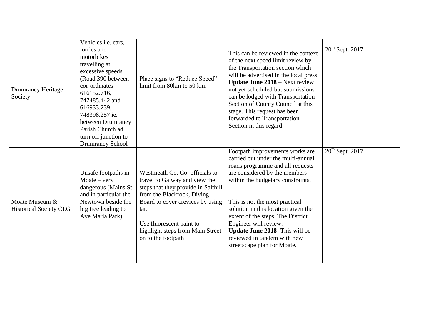| <b>Drumraney Heritage</b><br>Society            | Vehicles i.e. cars,<br>lorries and<br>motorbikes<br>travelling at<br>excessive speeds<br>(Road 390 between<br>cor-ordinates<br>616152.716,<br>747485.442 and<br>616933.239,<br>748398.257 ie.<br>between Drumraney<br>Parish Church ad<br>turn off junction to<br><b>Drumraney School</b> | Place signs to "Reduce Speed"<br>limit from 80km to 50 km.                                                                                                                                                                                                             | This can be reviewed in the context<br>of the next speed limit review by<br>the Transportation section which<br>will be advertised in the local press.<br><b>Update June 2018 – Next review</b><br>not yet scheduled but submissions<br>can be lodged with Transportation<br>Section of County Council at this<br>stage. This request has been<br>forwarded to Transportation<br>Section in this regard.                      | $20th$ Sept. 2017 |
|-------------------------------------------------|-------------------------------------------------------------------------------------------------------------------------------------------------------------------------------------------------------------------------------------------------------------------------------------------|------------------------------------------------------------------------------------------------------------------------------------------------------------------------------------------------------------------------------------------------------------------------|-------------------------------------------------------------------------------------------------------------------------------------------------------------------------------------------------------------------------------------------------------------------------------------------------------------------------------------------------------------------------------------------------------------------------------|-------------------|
| Moate Museum &<br><b>Historical Society CLG</b> | Unsafe footpaths in<br>$Moate - very$<br>dangerous (Mains St<br>and in particular the<br>Newtown beside the<br>big tree leading to<br>Ave Maria Park)                                                                                                                                     | Westmeath Co. Co. officials to<br>travel to Galway and view the<br>steps that they provide in Salthill<br>from the Blackrock, Diving<br>Board to cover crevices by using<br>tar.<br>Use fluorescent paint to<br>highlight steps from Main Street<br>on to the footpath | Footpath improvements works are<br>carried out under the multi-annual<br>roads programme and all requests<br>are considered by the members<br>within the budgetary constraints.<br>This is not the most practical<br>solution in this location given the<br>extent of the steps. The District<br>Engineer will review.<br><b>Update June 2018-</b> This will be<br>reviewed in tandem with new<br>streetscape plan for Moate. | $20th$ Sept. 2017 |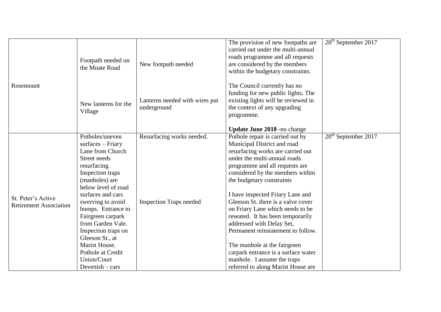|                               |                                        |                                | The provision of new footpaths are  | $20th$ September 2017 |
|-------------------------------|----------------------------------------|--------------------------------|-------------------------------------|-----------------------|
|                               |                                        |                                | carried out under the multi-annual  |                       |
|                               | Footpath needed on                     |                                | roads programme and all requests    |                       |
|                               | the Moate Road                         | New footpath needed            | are considered by the members       |                       |
|                               |                                        |                                | within the budgetary constraints.   |                       |
|                               |                                        |                                |                                     |                       |
| Rosemount                     |                                        |                                | The Council currently has no        |                       |
|                               |                                        |                                | funding for new public lights. The  |                       |
|                               | New lanterns for the                   | Lanterns needed with wires put | existing lights will be reviewed in |                       |
|                               | Village                                | underground                    | the context of any upgrading        |                       |
|                               |                                        |                                | programme.                          |                       |
|                               |                                        |                                | Update June 2018 -no change         |                       |
|                               | Potholes/uneven                        | Resurfacing works needed.      | Pothole repair is carried out by    | $20th$ September 2017 |
|                               | $surfaces - Friary$                    |                                | Municipal District and road         |                       |
|                               | Lane from Church                       |                                | resurfacing works are carried out   |                       |
|                               | Street needs                           |                                | under the multi-annual roads        |                       |
|                               | resurfacing.                           |                                | programme and all requests are      |                       |
|                               | Inspection traps                       |                                | considered by the members within    |                       |
|                               | (manholes) are                         |                                | the budgetary constraints           |                       |
|                               | below level of road                    |                                |                                     |                       |
|                               | surfaces and cars                      |                                | I have inspected Friary Lane and    |                       |
| St. Peter's Active            | swerving to avoid                      | <b>Inspection Traps needed</b> | Gleeson St. there is a valve cover  |                       |
| <b>Retirement Association</b> | bumps. Entrance to                     |                                | on Friary Lane which needs to be    |                       |
|                               |                                        |                                | reseated. It has been temporarily   |                       |
|                               | Fairgreen carpark<br>from Garden Vale. |                                |                                     |                       |
|                               |                                        |                                | addressed with Delay Set,           |                       |
|                               | Inspection traps on                    |                                | Permanent reinstatement to follow.  |                       |
|                               | Gleeson St., at                        |                                |                                     |                       |
|                               | Marist House.                          |                                | The manhole at the fairgreen        |                       |
|                               | Pothole at Credit                      |                                | carpark entrance is a surface water |                       |
|                               | Union/Court                            |                                | manhole. I assume the traps         |                       |
|                               | Devenish $-$ cars                      |                                | referred to along Marist House are  |                       |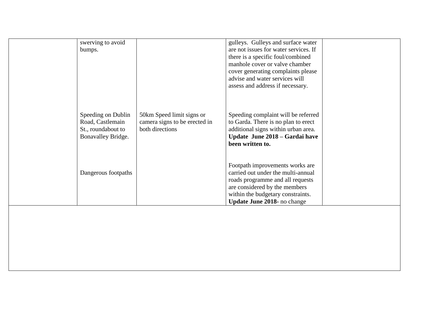| swerving to avoid<br>bumps.            |                                                  | gulleys. Gulleys and surface water<br>are not issues for water services. If |  |
|----------------------------------------|--------------------------------------------------|-----------------------------------------------------------------------------|--|
|                                        |                                                  | there is a specific foul/combined                                           |  |
|                                        |                                                  | manhole cover or valve chamber                                              |  |
|                                        |                                                  | cover generating complaints please<br>advise and water services will        |  |
|                                        |                                                  | assess and address if necessary.                                            |  |
|                                        |                                                  |                                                                             |  |
|                                        |                                                  |                                                                             |  |
| Speeding on Dublin                     | 50km Speed limit signs or                        | Speeding complaint will be referred                                         |  |
| Road, Castlemain<br>St., roundabout to | camera signs to be erected in<br>both directions | to Garda. There is no plan to erect<br>additional signs within urban area.  |  |
| Bonavalley Bridge.                     |                                                  | Update June 2018 – Gardai have                                              |  |
|                                        |                                                  | been written to.                                                            |  |
|                                        |                                                  |                                                                             |  |
|                                        |                                                  | Footpath improvements works are                                             |  |
| Dangerous footpaths                    |                                                  | carried out under the multi-annual                                          |  |
|                                        |                                                  | roads programme and all requests<br>are considered by the members           |  |
|                                        |                                                  | within the budgetary constraints.                                           |  |
|                                        |                                                  | Update June 2018- no change                                                 |  |
|                                        |                                                  |                                                                             |  |
|                                        |                                                  |                                                                             |  |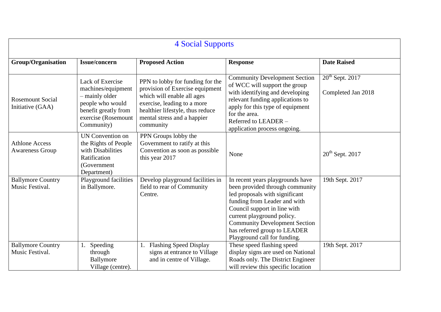| <b>4 Social Supports</b>                        |                                                                                                                                           |                                                                                                                                                                                                                  |                                                                                                                                                                                                                                                                                                             |                                         |
|-------------------------------------------------|-------------------------------------------------------------------------------------------------------------------------------------------|------------------------------------------------------------------------------------------------------------------------------------------------------------------------------------------------------------------|-------------------------------------------------------------------------------------------------------------------------------------------------------------------------------------------------------------------------------------------------------------------------------------------------------------|-----------------------------------------|
| <b>Group/Organisation</b>                       | <b>Issue/concern</b>                                                                                                                      | <b>Proposed Action</b>                                                                                                                                                                                           | <b>Response</b>                                                                                                                                                                                                                                                                                             | <b>Date Raised</b>                      |
| <b>Rosemount Social</b><br>Initiative (GAA)     | Lack of Exercise<br>machines/equipment<br>- mainly older<br>people who would<br>benefit greatly from<br>exercise (Rosemount<br>Community) | PPN to lobby for funding for the<br>provision of Exercise equipment<br>which will enable all ages<br>exercise, leading to a more<br>healthier lifestyle, thus reduce<br>mental stress and a happier<br>community | <b>Community Development Section</b><br>of WCC will support the group<br>with identifying and developing<br>relevant funding applications to<br>apply for this type of equipment<br>for the area.<br>Referred to LEADER -<br>application process ongoing.                                                   | $20th$ Sept. 2017<br>Completed Jan 2018 |
| <b>Athlone Access</b><br><b>Awareness Group</b> | <b>UN Convention on</b><br>the Rights of People<br>with Disabilities<br>Ratification<br>(Government<br>Department)                        | PPN Groups lobby the<br>Government to ratify at this<br>Convention as soon as possible<br>this year 2017                                                                                                         | None                                                                                                                                                                                                                                                                                                        | $20th$ Sept. 2017                       |
| <b>Ballymore Country</b><br>Music Festival.     | Playground facilities<br>in Ballymore.                                                                                                    | Develop playground facilities in<br>field to rear of Community<br>Centre.                                                                                                                                        | In recent years playgrounds have<br>been provided through community<br>led proposals with significant<br>funding from Leader and with<br>Council support in line with<br>current playground policy.<br><b>Community Development Section</b><br>has referred group to LEADER<br>Playground call for funding. | 19th Sept. 2017                         |
| <b>Ballymore Country</b><br>Music Festival.     | Speeding<br>1.<br>through<br>Ballymore<br>Village (centre).                                                                               | <b>Flashing Speed Display</b><br>signs at entrance to Village<br>and in centre of Village.                                                                                                                       | These speed flashing speed<br>display signs are used on National<br>Roads only. The District Engineer<br>will review this specific location                                                                                                                                                                 | 19th Sept. 2017                         |